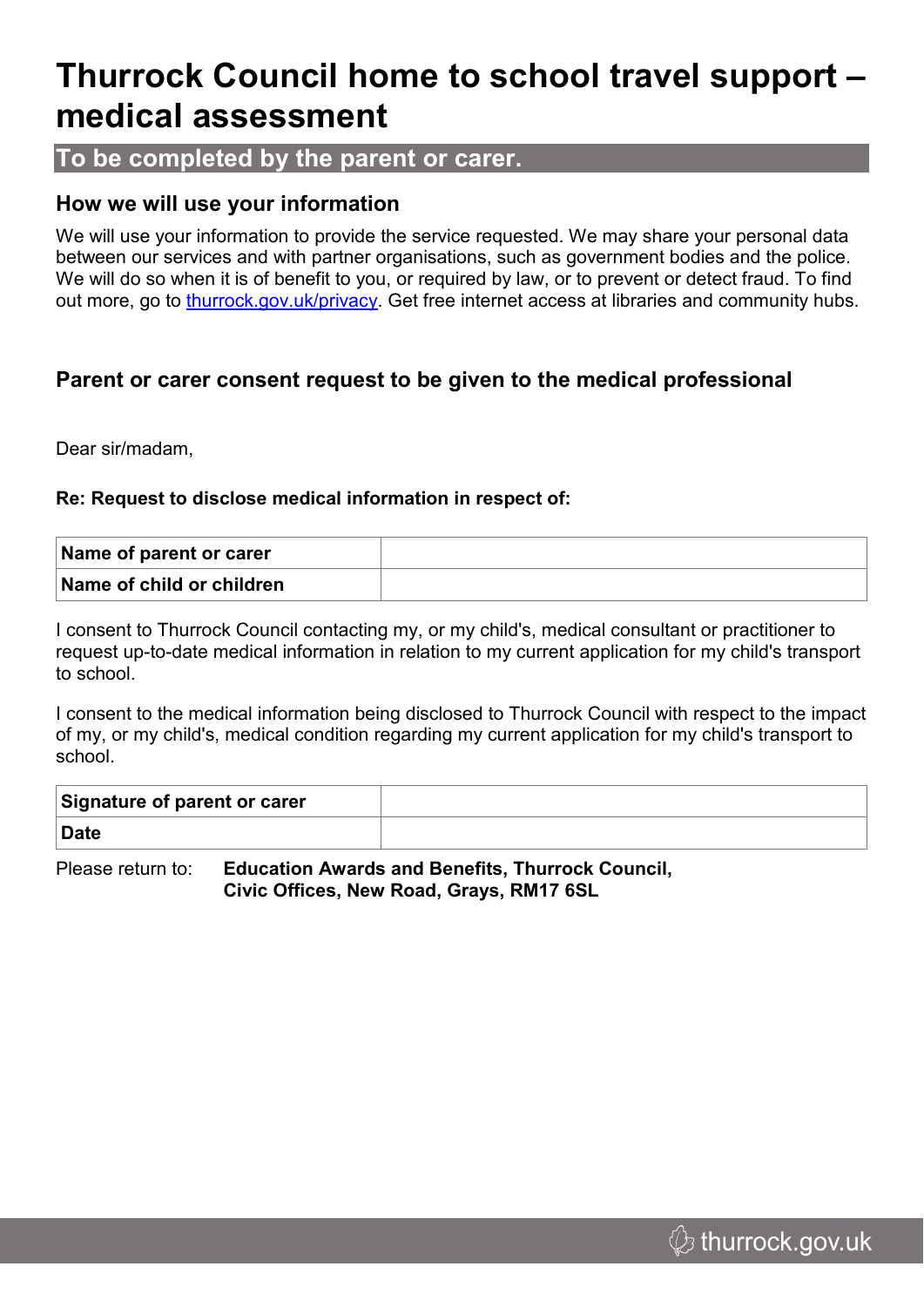## **Thurrock Council home to school travel support – medical assessment**

#### **To be completed by the parent or carer.**

#### **How we will use your information**

We will use your information to provide the service requested. We may share your personal data between our services and with partner organisations, such as government bodies and the police. We will do so when it is of benefit to you, or required by law, or to prevent or detect fraud. To find out more, go to [thurrock.gov.uk/privacy](https://www.thurrock.gov.uk/privacy). Get free internet access at libraries and community hubs.

#### **Parent or carer consent request to be given to the medical professional**

Dear sir/madam,

#### **Re: Request to disclose medical information in respect of:**

| Name of parent or carer   |  |
|---------------------------|--|
| Name of child or children |  |

I consent to Thurrock Council contacting my, or my child's, medical consultant or practitioner to request up-to-date medical information in relation to my current application for my child's transport to school.

I consent to the medical information being disclosed to Thurrock Council with respect to the impact of my, or my child's, medical condition regarding my current application for my child's transport to school.

| Signature of parent or carer |  |
|------------------------------|--|
| <b>Date</b>                  |  |

Please return to: **Education Awards and Benefits, Thurrock Council, Civic Offices, New Road, Grays, RM17 6SL**